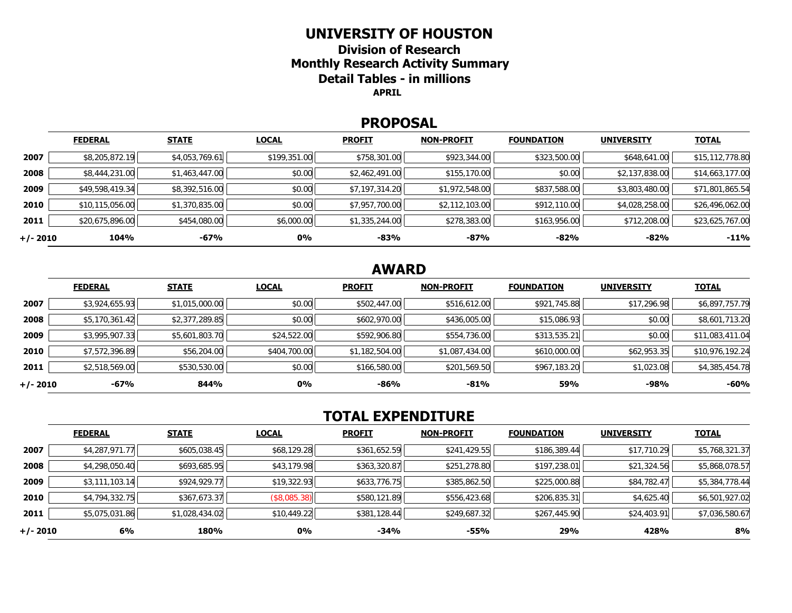### **UNIVERSITY OF HOUSTON**

**Division of Research Monthly Research Activity Summary Detail Tables - in millions APRIL** 

#### **PROPOSAL**

|            | <b>FEDERAL</b>  | <b>STATE</b>   | <b>LOCAL</b> | <b>PROFIT</b>  | <b>NON-PROFIT</b> | <b>FOUNDATION</b> | <b>UNIVERSITY</b> | <b>TOTAL</b>    |
|------------|-----------------|----------------|--------------|----------------|-------------------|-------------------|-------------------|-----------------|
| 2007       | \$8,205,872.19  | \$4,053,769.61 | \$199,351.00 | \$758,301.00   | \$923,344.00      | \$323,500.00      | \$648,641.00      | \$15,112,778.80 |
| 2008       | \$8,444,231.00  | \$1,463,447.00 | \$0.00       | \$2,462,491.00 | \$155,170.00      | \$0.00            | \$2,137,838.00    | \$14,663,177.00 |
| 2009       | \$49,598,419.34 | \$8,392,516.00 | \$0.00       | \$7,197,314.20 | \$1,972,548.00    | \$837,588.00      | \$3,803,480.00    | \$71,801,865.54 |
| 2010       | \$10,115,056.00 | \$1,370,835.00 | \$0.00       | \$7,957,700.00 | \$2,112,103.00    | \$912,110.00      | \$4,028,258.00    | \$26,496,062.00 |
| 2011       | \$20,675,896.00 | \$454,080.00   | \$6,000.00   | \$1,335,244.00 | \$278,383.00      | \$163,956.00      | \$712,208.00      | \$23,625,767.00 |
| $+/- 2010$ | 104%            | -67%           | 0%           | $-83%$         | -87%              | $-82%$            | $-82%$            | $-11%$          |

# **AWARD**

|          | <b>FEDERAL</b> | <b>STATE</b>   | <b>LOCAL</b> | <b>PROFIT</b>  | <b>NON-PROFIT</b> | <b>FOUNDATION</b> | <b>UNIVERSITY</b> | <u>TOTAL</u>    |
|----------|----------------|----------------|--------------|----------------|-------------------|-------------------|-------------------|-----------------|
| 2007     | \$3,924,655.93 | \$1,015,000.00 | \$0.00       | \$502,447.00   | \$516,612.00      | \$921,745.88      | \$17,296.98       | \$6,897,757.79  |
| 2008     | \$5,170,361.42 | \$2,377,289.85 | \$0.00       | \$602,970.00   | \$436,005.00      | \$15,086.93       | \$0.00            | \$8,601,713.20  |
| 2009     | \$3,995,907.33 | \$5,601,803.70 | \$24,522.00  | \$592,906.80   | \$554,736.00      | \$313,535.21      | \$0.00            | \$11,083,411.04 |
| 2010     | \$7,572,396.89 | \$56,204.00    | \$404,700.00 | \$1,182,504.00 | \$1,087,434.00    | \$610,000.00      | \$62,953.35       | \$10,976,192.24 |
| 2011     | \$2,518,569.00 | \$530,530.00   | \$0.00       | \$166,580.00   | \$201,569.50      | \$967,183.20      | \$1,023.08        | \$4,385,454.78  |
| +/- 2010 | -67%           | 844%           | 0%           | $-86%$         | $-81%$            | 59%               | $-98%$            | $-60%$          |

# **TOTAL EXPENDITURE**

|          | <b>FEDERAL</b> | <b>STATE</b>   | <b>LOCAL</b> | <b>PROFIT</b> | <b>NON-PROFIT</b> | <b>FOUNDATION</b> | <b>UNIVERSITY</b> | <b>TOTAL</b>   |
|----------|----------------|----------------|--------------|---------------|-------------------|-------------------|-------------------|----------------|
| 2007     | \$4,287,971.77 | \$605,038.45   | \$68,129.28  | \$361,652.59  | \$241,429.55      | \$186,389.44      | \$17,710.29       | \$5,768,321.37 |
| 2008     | \$4,298,050.40 | \$693,685.95   | \$43,179.98  | \$363,320.87  | \$251,278.80      | \$197,238.01      | \$21,324.56       | \$5,868,078.57 |
| 2009     | \$3,111,103.14 | \$924,929.77   | \$19,322.93  | \$633,776.75  | \$385,862.50      | \$225,000.88      | \$84,782.47       | \$5,384,778.44 |
| 2010     | \$4,794,332.75 | \$367,673.37   | (\$8,085.38) | \$580,121.89  | \$556,423.68      | \$206,835.31      | \$4,625.40        | \$6,501,927.02 |
| 2011     | \$5,075,031.86 | \$1,028,434.02 | \$10,449.22  | \$381,128.44  | \$249,687.32      | \$267,445.90      | \$24,403.91       | \$7,036,580.67 |
| +/- 2010 | 6%             | 180%           | 0%           | $-34%$        | -55%              | 29%               | 428%              | 8%             |